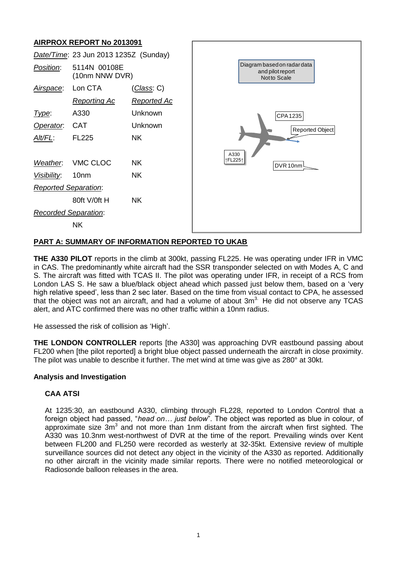# **AIRPROX REPORT No 2013091**

|             | <u>ה נסט טא זענו דער וואס וואס ווא</u> |                    |
|-------------|----------------------------------------|--------------------|
|             | Date/Time: 23 Jun 2013 1235Z (Sunday)  |                    |
| Position:   | 5114N 00108E<br>(10nm NNW DVR)         |                    |
| Airspace:   | Lon CTA                                | <u>(Class</u> : C) |
|             | <b>Reporting Ac</b>                    | <u>Reported Ac</u> |
| Type:       | A330                                   | Unknown            |
| Operator.   | <b>CAT</b>                             | <b>Unknown</b>     |
| Alt/FL:     | <b>FL225</b>                           | <b>NK</b>          |
| Weather.    | VMC CLOC                               | <b>NK</b>          |
| Visibility: | 10 <sub>nm</sub>                       | <b>NK</b>          |
|             | <b>Reported Separation:</b>            |                    |
|             | 80ft V/0ft H                           | <b>NK</b>          |
|             | <b>Recorded Separation:</b>            |                    |
|             | <b>NK</b>                              |                    |
|             |                                        |                    |

# **PART A: SUMMARY OF INFORMATION REPORTED TO UKAB**

**THE A330 PILOT** reports in the climb at 300kt, passing FL225. He was operating under IFR in VMC in CAS. The predominantly white aircraft had the SSR transponder selected on with Modes A, C and S. The aircraft was fitted with TCAS II. The pilot was operating under IFR, in receipt of a RCS from London LAS S. He saw a blue/black object ahead which passed just below them, based on a 'very high relative speed', less than 2 sec later. Based on the time from visual contact to CPA, he assessed that the object was not an aircraft, and had a volume of about  $3m<sup>3</sup>$ . He did not observe any TCAS alert, and ATC confirmed there was no other traffic within a 10nm radius.

He assessed the risk of collision as 'High'.

**THE LONDON CONTROLLER** reports [the A330] was approaching DVR eastbound passing about FL200 when [the pilot reported] a bright blue object passed underneath the aircraft in close proximity. The pilot was unable to describe it further. The met wind at time was give as 280° at 30kt.

## **Analysis and Investigation**

## **CAA ATSI**

At 1235:30, an eastbound A330, climbing through FL228, reported to London Control that a foreign object had passed, "*head on… just below*". The object was reported as blue in colour, of approximate size  $3m<sup>3</sup>$  and not more than 1nm distant from the aircraft when first sighted. The A330 was 10.3nm west-northwest of DVR at the time of the report. Prevailing winds over Kent between FL200 and FL250 were recorded as westerly at 32-35kt. Extensive review of multiple surveillance sources did not detect any object in the vicinity of the A330 as reported. Additionally no other aircraft in the vicinity made similar reports. There were no notified meteorological or Radiosonde balloon releases in the area.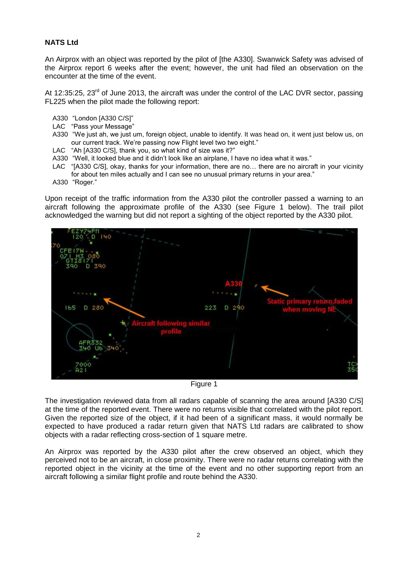## **NATS Ltd**

An Airprox with an object was reported by the pilot of [the A330]. Swanwick Safety was advised of the Airprox report 6 weeks after the event; however, the unit had filed an observation on the encounter at the time of the event.

At 12:35:25, 23<sup>rd</sup> of June 2013, the aircraft was under the control of the LAC DVR sector, passing FL225 when the pilot made the following report:

- A330 "London [A330 C/S]"
- LAC "Pass your Message"
- A330 "We just ah, we just um, foreign object, unable to identify. It was head on, it went just below us, on our current track. We're passing now Flight level two two eight."
- LAC "Ah [A330 C/S], thank you, so what kind of size was it?"
- A330 "Well, it looked blue and it didn't look like an airplane, I have no idea what it was."
- LAC "[A330 C/S], okay, thanks for your information, there are no… there are no aircraft in your vicinity for about ten miles actually and I can see no unusual primary returns in your area."
- A330 "Roger."

Upon receipt of the traffic information from the A330 pilot the controller passed a warning to an aircraft following the approximate profile of the A330 (see Figure 1 below). The trail pilot acknowledged the warning but did not report a sighting of the object reported by the A330 pilot.



Figure 1

The investigation reviewed data from all radars capable of scanning the area around [A330 C/S] at the time of the reported event. There were no returns visible that correlated with the pilot report. Given the reported size of the object, if it had been of a significant mass, it would normally be expected to have produced a radar return given that NATS Ltd radars are calibrated to show objects with a radar reflecting cross-section of 1 square metre.

An Airprox was reported by the A330 pilot after the crew observed an object, which they perceived not to be an aircraft, in close proximity. There were no radar returns correlating with the reported object in the vicinity at the time of the event and no other supporting report from an aircraft following a similar flight profile and route behind the A330.